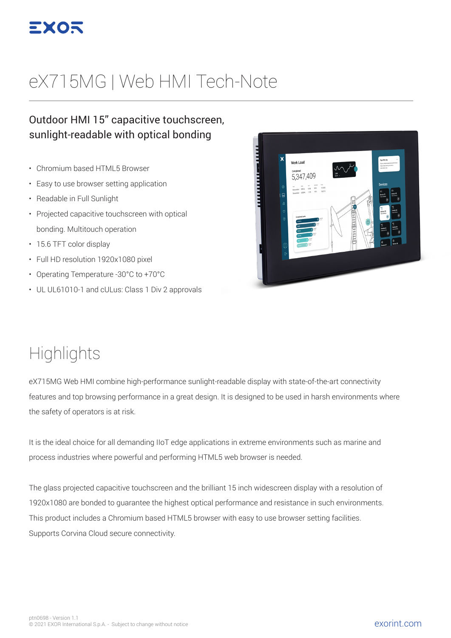

# eX715MG | Web HMI Tech-Note

#### Outdoor HMI 15" capacitive touchscreen, sunlight-readable with optical bonding

- Chromium based HTML5 Browser
- Easy to use browser setting application
- Readable in Full Sunlight
- Projected capacitive touchscreen with optical bonding. Multitouch operation
- 15.6 TFT color display
- Full HD resolution 1920x1080 pixel
- Operating Temperature -30°C to +70°C
- UL UL61010-1 and cULus: Class 1 Div 2 approvals



### **Highlights**

eX715MG Web HMI combine high-performance sunlight-readable display with state-of-the-art connectivity features and top browsing performance in a great design. It is designed to be used in harsh environments where the safety of operators is at risk.

It is the ideal choice for all demanding IIoT edge applications in extreme environments such as marine and process industries where powerful and performing HTML5 web browser is needed.

The glass projected capacitive touchscreen and the brilliant 15 inch widescreen display with a resolution of 1920x1080 are bonded to guarantee the highest optical performance and resistance in such environments. This product includes a Chromium based HTML5 browser with easy to use browser setting facilities. Supports Corvina Cloud secure connectivity.